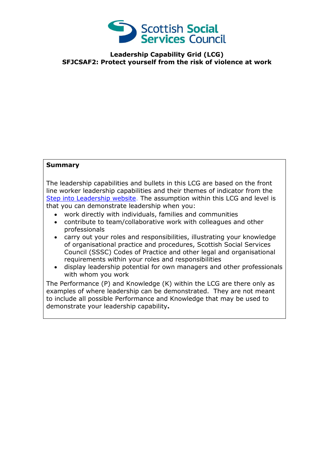

**Leadership Capability Grid (LCG) SFJCSAF2: Protect yourself from the risk of violence at work**

## **Summary**

The leadership capabilities and bullets in this LCG are based on the front line worker leadership capabilities and their themes of indicator from the [Step into Leadership website.](http://www.stepintoleadership.info/) The assumption within this LCG and level is that you can demonstrate leadership when you:

- work directly with individuals, families and communities
- contribute to team/collaborative work with colleagues and other professionals
- carry out your roles and responsibilities, illustrating your knowledge of organisational practice and procedures, Scottish Social Services Council (SSSC) Codes of Practice and other legal and organisational requirements within your roles and responsibilities
- display leadership potential for own managers and other professionals with whom you work

The Performance (P) and Knowledge (K) within the LCG are there only as examples of where leadership can be demonstrated. They are not meant to include all possible Performance and Knowledge that may be used to demonstrate your leadership capability**.**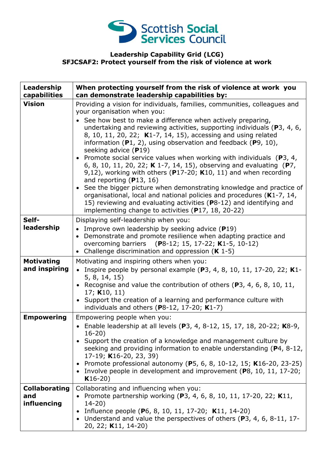

## **Leadership Capability Grid (LCG) SFJCSAF2: Protect yourself from the risk of violence at work**

| Leadership<br>capabilities                 | When protecting yourself from the risk of violence at work you<br>can demonstrate leadership capabilities by:                                                                                                                                                                                                                                                                                                                                                                                                                                                                                                                                                                                                                                                                                                                                                                                                                                              |
|--------------------------------------------|------------------------------------------------------------------------------------------------------------------------------------------------------------------------------------------------------------------------------------------------------------------------------------------------------------------------------------------------------------------------------------------------------------------------------------------------------------------------------------------------------------------------------------------------------------------------------------------------------------------------------------------------------------------------------------------------------------------------------------------------------------------------------------------------------------------------------------------------------------------------------------------------------------------------------------------------------------|
| <b>Vision</b>                              | Providing a vision for individuals, families, communities, colleagues and<br>your organisation when you:<br>See how best to make a difference when actively preparing,<br>undertaking and reviewing activities, supporting individuals (P3, 4, 6,<br>8, 10, 11, 20, 22; K1-7, 14, 15), accessing and using related<br>information $(P1, 2)$ , using observation and feedback $(P9, 10)$ ,<br>seeking advice $(P19)$<br>• Promote social service values when working with individuals ( $P3$ , 4,<br>6, 8, 10, 11, 20, 22; K 1-7, 14, 15), observing and evaluating (P7,<br>9,12), working with others ( $P17-20$ ; K10, 11) and when recording<br>and reporting $(P13, 16)$<br>• See the bigger picture when demonstrating knowledge and practice of<br>organisational, local and national policies and procedures (K1-7, 14,<br>15) reviewing and evaluating activities (P8-12) and identifying and<br>implementing change to activities (P17, 18, 20-22) |
| Self-<br>leadership                        | Displaying self-leadership when you:<br>• Improve own leadership by seeking advice $(P19)$<br>• Demonstrate and promote resilience when adapting practice and<br>overcoming barriers (P8-12; 15, 17-22; K1-5, 10-12)<br>• Challenge discrimination and oppression $(K 1-5)$                                                                                                                                                                                                                                                                                                                                                                                                                                                                                                                                                                                                                                                                                |
| <b>Motivating</b><br>and inspiring         | Motivating and inspiring others when you:<br>• Inspire people by personal example (P3, 4, 8, 10, 11, 17-20, 22; K1-<br>5, 8, 14, 15)<br>• Recognise and value the contribution of others (P3, 4, 6, 8, 10, 11,<br>17; $K10, 11$<br>• Support the creation of a learning and performance culture with<br>individuals and others ( $P8-12$ , 17-20; $K1-7$ )                                                                                                                                                                                                                                                                                                                                                                                                                                                                                                                                                                                                 |
| <b>Empowering</b>                          | Empowering people when you:<br>• Enable leadership at all levels (P3, 4, 8-12, 15, 17, 18, 20-22; K8-9,<br>$16 - 20$<br>• Support the creation of a knowledge and management culture by<br>seeking and providing information to enable understanding (P4, 8-12,<br>17-19; K16-20, 23, 39)<br>• Promote professional autonomy (P5, 6, 8, 10-12, 15; K16-20, 23-25)<br>• Involve people in development and improvement (P8, 10, 11, 17-20;<br>$K16-20)$                                                                                                                                                                                                                                                                                                                                                                                                                                                                                                      |
| <b>Collaborating</b><br>and<br>influencing | Collaborating and influencing when you:<br>• Promote partnership working (P3, 4, 6, 8, 10, 11, 17-20, 22; K11,<br>$14 - 20$<br>• Influence people (P6, 8, 10, 11, 17-20; K11, 14-20)<br>Understand and value the perspectives of others ( $P3$ , 4, 6, 8-11, 17-<br>20, 22; K11, 14-20)                                                                                                                                                                                                                                                                                                                                                                                                                                                                                                                                                                                                                                                                    |